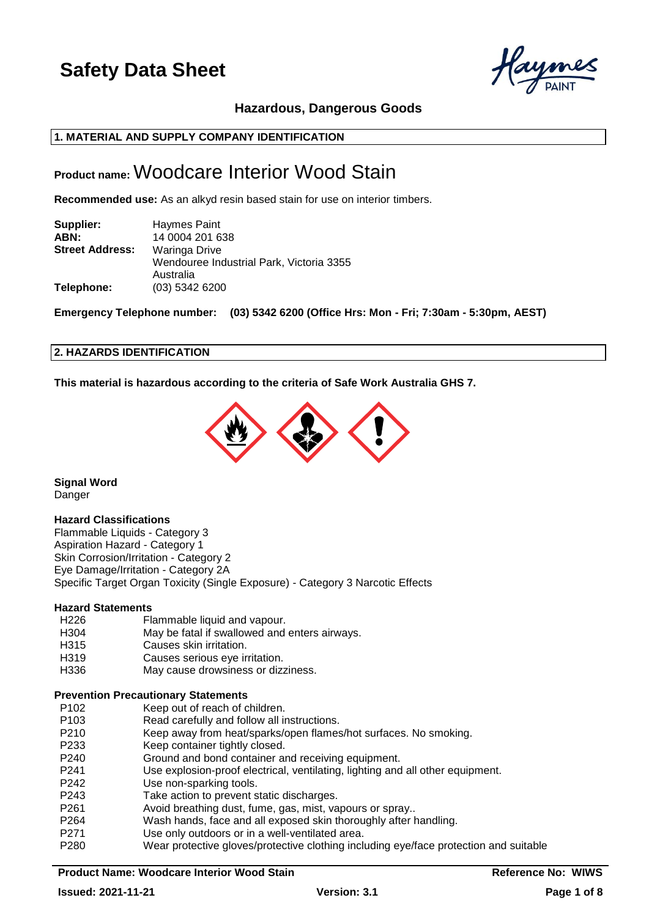

# **Hazardous, Dangerous Goods**

# **1. MATERIAL AND SUPPLY COMPANY IDENTIFICATION**

# **Product name:** Woodcare Interior Wood Stain

**Recommended use:** As an alkyd resin based stain for use on interior timbers.

| Supplier:              | Haymes Paint                             |
|------------------------|------------------------------------------|
| ABN:                   | 14 0004 201 638                          |
| <b>Street Address:</b> | Waringa Drive                            |
|                        | Wendouree Industrial Park, Victoria 3355 |
|                        | Australia                                |
| Telephone:             | $(03)$ 5342 6200                         |

**Emergency Telephone number: (03) 5342 6200 (Office Hrs: Mon - Fri; 7:30am - 5:30pm, AEST)**

#### **2. HAZARDS IDENTIFICATION**

**This material is hazardous according to the criteria of Safe Work Australia GHS 7.**



**Signal Word** Danger

# **Hazard Classifications**

Flammable Liquids - Category 3 Aspiration Hazard - Category 1 Skin Corrosion/Irritation - Category 2 Eye Damage/Irritation - Category 2A Specific Target Organ Toxicity (Single Exposure) - Category 3 Narcotic Effects

#### **Hazard Statements**

- H226 Flammable liquid and vapour. H304 May be fatal if swallowed and enters airways. H315 Causes skin irritation. H319 Causes serious eye irritation.
- H336 May cause drowsiness or dizziness.

#### **Prevention Precautionary Statements**

- P102 Keep out of reach of children.
- P103 Read carefully and follow all instructions.
- P210 Keep away from heat/sparks/open flames/hot surfaces. No smoking.
- P233 Keep container tightly closed.
- P240 Ground and bond container and receiving equipment.
- P241 Use explosion-proof electrical, ventilating, lighting and all other equipment.
- P242 Use non-sparking tools.
- P243 Take action to prevent static discharges.
- P261 Avoid breathing dust, fume, gas, mist, vapours or spray..
- P264 Wash hands, face and all exposed skin thoroughly after handling.
- P271 Use only outdoors or in a well-ventilated area.
- P280 Wear protective gloves/protective clothing including eye/face protection and suitable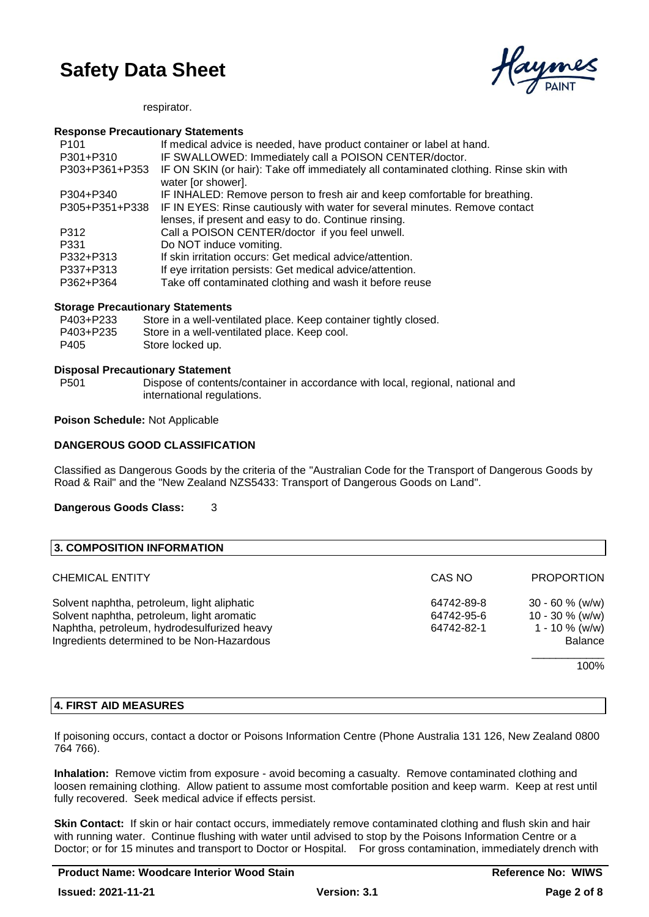

#### respirator.

#### **Response Precautionary Statements**

| P <sub>101</sub> | If medical advice is needed, have product container or label at hand.                                       |
|------------------|-------------------------------------------------------------------------------------------------------------|
| P301+P310        | IF SWALLOWED: Immediately call a POISON CENTER/doctor.                                                      |
| P303+P361+P353   | IF ON SKIN (or hair): Take off immediately all contaminated clothing. Rinse skin with<br>water [or shower]. |
| P304+P340        | IF INHALED: Remove person to fresh air and keep comfortable for breathing.                                  |
| P305+P351+P338   | IF IN EYES: Rinse cautiously with water for several minutes. Remove contact                                 |
|                  | lenses, if present and easy to do. Continue rinsing.                                                        |
| P312             | Call a POISON CENTER/doctor if you feel unwell.                                                             |
| P331             | Do NOT induce vomiting.                                                                                     |
| P332+P313        | If skin irritation occurs: Get medical advice/attention.                                                    |
| P337+P313        | If eye irritation persists: Get medical advice/attention.                                                   |
| P362+P364        | Take off contaminated clothing and wash it before reuse                                                     |

#### **Storage Precautionary Statements**

| P403+P233 | Store in a well-ventilated place. Keep container tightly closed. |
|-----------|------------------------------------------------------------------|
| P403+P235 | Store in a well-ventilated place. Keep cool.                     |
| P405      | Store locked up.                                                 |

# **Disposal Precautionary Statement**

P501 Dispose of contents/container in accordance with local, regional, national and international regulations.

#### **Poison Schedule:** Not Applicable

# **DANGEROUS GOOD CLASSIFICATION**

Classified as Dangerous Goods by the criteria of the "Australian Code for the Transport of Dangerous Goods by Road & Rail" and the "New Zealand NZS5433: Transport of Dangerous Goods on Land".

#### **Dangerous Goods Class:** 3

| 3. COMPOSITION INFORMATION                                                                                                                                                             |                                        |                                                                                |
|----------------------------------------------------------------------------------------------------------------------------------------------------------------------------------------|----------------------------------------|--------------------------------------------------------------------------------|
| <b>CHEMICAL ENTITY</b>                                                                                                                                                                 | CAS NO                                 | <b>PROPORTION</b>                                                              |
| Solvent naphtha, petroleum, light aliphatic<br>Solvent naphtha, petroleum, light aromatic<br>Naphtha, petroleum, hydrodesulfurized heavy<br>Ingredients determined to be Non-Hazardous | 64742-89-8<br>64742-95-6<br>64742-82-1 | $30 - 60$ % (w/w)<br>$10 - 30 \%$ (w/w)<br>$1 - 10 \%$ (w/w)<br><b>Balance</b> |
|                                                                                                                                                                                        |                                        | 100%                                                                           |

# **4. FIRST AID MEASURES**

If poisoning occurs, contact a doctor or Poisons Information Centre (Phone Australia 131 126, New Zealand 0800 764 766).

**Inhalation:** Remove victim from exposure - avoid becoming a casualty. Remove contaminated clothing and loosen remaining clothing. Allow patient to assume most comfortable position and keep warm. Keep at rest until fully recovered. Seek medical advice if effects persist.

**Skin Contact:** If skin or hair contact occurs, immediately remove contaminated clothing and flush skin and hair with running water. Continue flushing with water until advised to stop by the Poisons Information Centre or a Doctor; or for 15 minutes and transport to Doctor or Hospital. For gross contamination, immediately drench with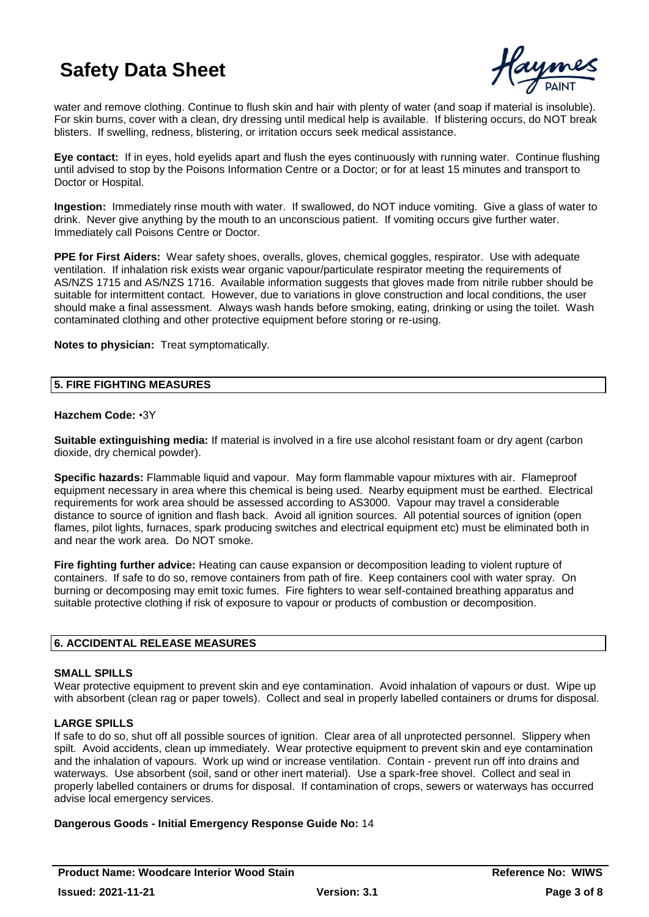

water and remove clothing. Continue to flush skin and hair with plenty of water (and soap if material is insoluble). For skin burns, cover with a clean, dry dressing until medical help is available. If blistering occurs, do NOT break blisters. If swelling, redness, blistering, or irritation occurs seek medical assistance.

**Eye contact:** If in eyes, hold eyelids apart and flush the eyes continuously with running water. Continue flushing until advised to stop by the Poisons Information Centre or a Doctor; or for at least 15 minutes and transport to Doctor or Hospital.

**Ingestion:** Immediately rinse mouth with water. If swallowed, do NOT induce vomiting. Give a glass of water to drink. Never give anything by the mouth to an unconscious patient. If vomiting occurs give further water. Immediately call Poisons Centre or Doctor.

**PPE for First Aiders:** Wear safety shoes, overalls, gloves, chemical goggles, respirator. Use with adequate ventilation. If inhalation risk exists wear organic vapour/particulate respirator meeting the requirements of AS/NZS 1715 and AS/NZS 1716. Available information suggests that gloves made from nitrile rubber should be suitable for intermittent contact. However, due to variations in glove construction and local conditions, the user should make a final assessment. Always wash hands before smoking, eating, drinking or using the toilet. Wash contaminated clothing and other protective equipment before storing or re-using.

**Notes to physician:** Treat symptomatically.

#### **5. FIRE FIGHTING MEASURES**

#### **Hazchem Code:** •3Y

**Suitable extinguishing media:** If material is involved in a fire use alcohol resistant foam or dry agent (carbon dioxide, dry chemical powder).

**Specific hazards:** Flammable liquid and vapour. May form flammable vapour mixtures with air. Flameproof equipment necessary in area where this chemical is being used. Nearby equipment must be earthed. Electrical requirements for work area should be assessed according to AS3000. Vapour may travel a considerable distance to source of ignition and flash back. Avoid all ignition sources. All potential sources of ignition (open flames, pilot lights, furnaces, spark producing switches and electrical equipment etc) must be eliminated both in and near the work area. Do NOT smoke.

**Fire fighting further advice:** Heating can cause expansion or decomposition leading to violent rupture of containers. If safe to do so, remove containers from path of fire. Keep containers cool with water spray. On burning or decomposing may emit toxic fumes. Fire fighters to wear self-contained breathing apparatus and suitable protective clothing if risk of exposure to vapour or products of combustion or decomposition.

# **6. ACCIDENTAL RELEASE MEASURES**

# **SMALL SPILLS**

Wear protective equipment to prevent skin and eye contamination. Avoid inhalation of vapours or dust. Wipe up with absorbent (clean rag or paper towels). Collect and seal in properly labelled containers or drums for disposal.

# **LARGE SPILLS**

If safe to do so, shut off all possible sources of ignition. Clear area of all unprotected personnel. Slippery when spilt. Avoid accidents, clean up immediately. Wear protective equipment to prevent skin and eye contamination and the inhalation of vapours. Work up wind or increase ventilation. Contain - prevent run off into drains and waterways. Use absorbent (soil, sand or other inert material). Use a spark-free shovel. Collect and seal in properly labelled containers or drums for disposal. If contamination of crops, sewers or waterways has occurred advise local emergency services.

# **Dangerous Goods - Initial Emergency Response Guide No:** 14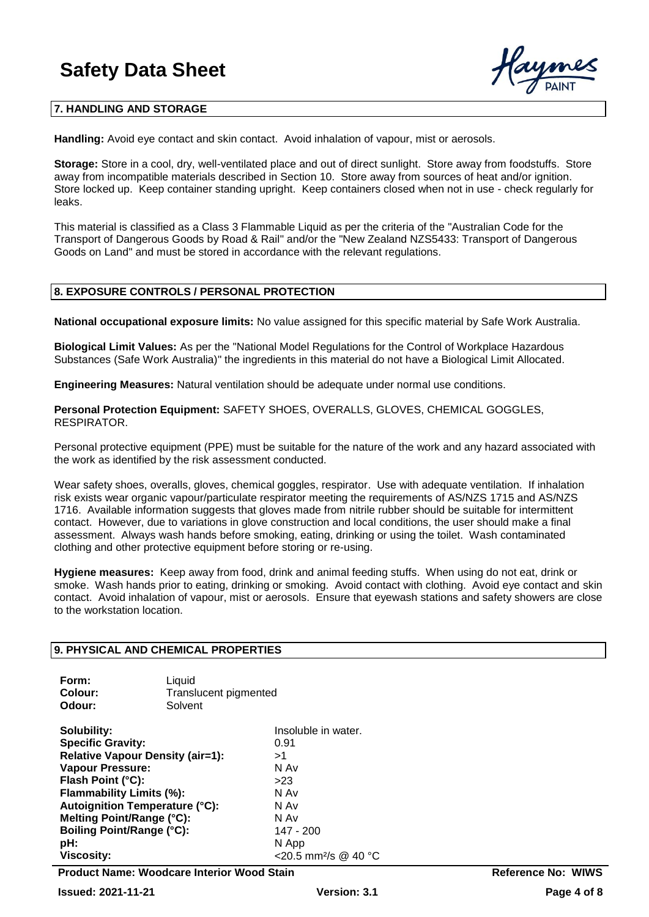

### **7. HANDLING AND STORAGE**

**Handling:** Avoid eye contact and skin contact. Avoid inhalation of vapour, mist or aerosols.

**Storage:** Store in a cool, dry, well-ventilated place and out of direct sunlight. Store away from foodstuffs. Store away from incompatible materials described in Section 10. Store away from sources of heat and/or ignition. Store locked up. Keep container standing upright. Keep containers closed when not in use - check regularly for leaks.

This material is classified as a Class 3 Flammable Liquid as per the criteria of the "Australian Code for the Transport of Dangerous Goods by Road & Rail" and/or the "New Zealand NZS5433: Transport of Dangerous Goods on Land" and must be stored in accordance with the relevant regulations.

#### **8. EXPOSURE CONTROLS / PERSONAL PROTECTION**

**National occupational exposure limits:** No value assigned for this specific material by Safe Work Australia.

**Biological Limit Values:** As per the "National Model Regulations for the Control of Workplace Hazardous Substances (Safe Work Australia)" the ingredients in this material do not have a Biological Limit Allocated.

**Engineering Measures:** Natural ventilation should be adequate under normal use conditions.

**Personal Protection Equipment:** SAFETY SHOES, OVERALLS, GLOVES, CHEMICAL GOGGLES, RESPIRATOR.

Personal protective equipment (PPE) must be suitable for the nature of the work and any hazard associated with the work as identified by the risk assessment conducted.

Wear safety shoes, overalls, gloves, chemical goggles, respirator. Use with adequate ventilation. If inhalation risk exists wear organic vapour/particulate respirator meeting the requirements of AS/NZS 1715 and AS/NZS 1716. Available information suggests that gloves made from nitrile rubber should be suitable for intermittent contact. However, due to variations in glove construction and local conditions, the user should make a final assessment. Always wash hands before smoking, eating, drinking or using the toilet. Wash contaminated clothing and other protective equipment before storing or re-using.

**Hygiene measures:** Keep away from food, drink and animal feeding stuffs. When using do not eat, drink or smoke. Wash hands prior to eating, drinking or smoking. Avoid contact with clothing. Avoid eye contact and skin contact. Avoid inhalation of vapour, mist or aerosols. Ensure that eyewash stations and safety showers are close to the workstation location.

#### **9. PHYSICAL AND CHEMICAL PROPERTIES**

| Form:   | Liquid                |
|---------|-----------------------|
| Colour: | Translucent pigmented |
| Odour:  | Solvent               |

**Solubility:** Insoluble in water. **Specific Gravity:** 0.91 **Relative Vapour Density (air=1):** >1 **Vapour Pressure:** N Av **Flash Point (°C):** >23 **Flammability Limits (%): Autoignition Temperature (°C):** N Av **Melting Point/Range (°C):** N Av **Boiling Point/Range (°C):** 147 - 200 **pH:** N App **Viscosity:**  $\leq$ 20.5 mm<sup>2</sup>/s @ 40 °C

**Product Name: Woodcare Interior Wood Stain Reference No: WIWS**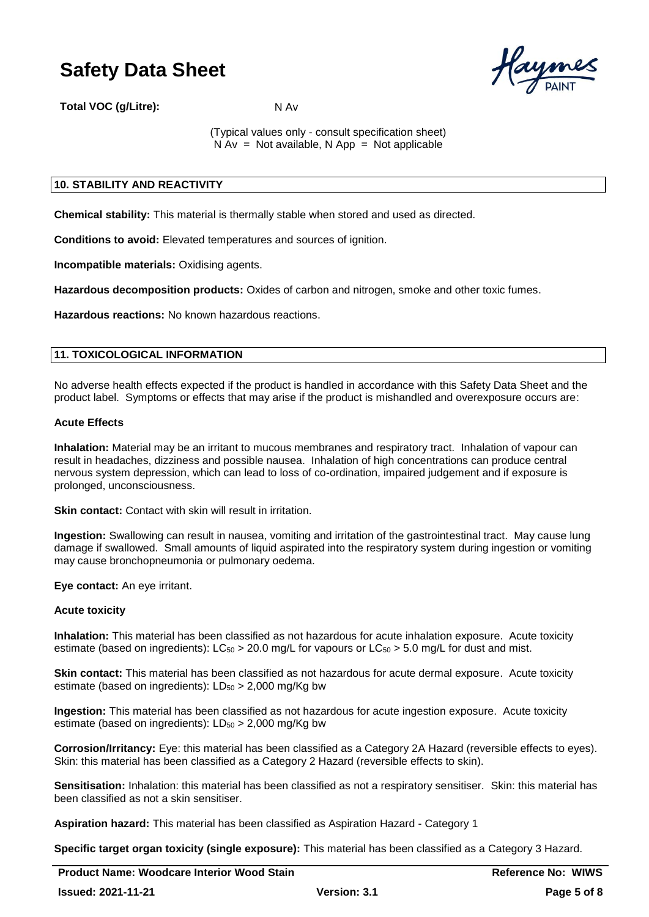

**Total VOC (g/Litre):** N Av

(Typical values only - consult specification sheet)  $N Av = Not available, N App = Not applicable$ 

# **10. STABILITY AND REACTIVITY**

**Chemical stability:** This material is thermally stable when stored and used as directed.

**Conditions to avoid:** Elevated temperatures and sources of ignition.

**Incompatible materials:** Oxidising agents.

**Hazardous decomposition products:** Oxides of carbon and nitrogen, smoke and other toxic fumes.

**Hazardous reactions:** No known hazardous reactions.

### **11. TOXICOLOGICAL INFORMATION**

No adverse health effects expected if the product is handled in accordance with this Safety Data Sheet and the product label. Symptoms or effects that may arise if the product is mishandled and overexposure occurs are:

#### **Acute Effects**

**Inhalation:** Material may be an irritant to mucous membranes and respiratory tract. Inhalation of vapour can result in headaches, dizziness and possible nausea. Inhalation of high concentrations can produce central nervous system depression, which can lead to loss of co-ordination, impaired judgement and if exposure is prolonged, unconsciousness.

**Skin contact:** Contact with skin will result in irritation.

**Ingestion:** Swallowing can result in nausea, vomiting and irritation of the gastrointestinal tract. May cause lung damage if swallowed. Small amounts of liquid aspirated into the respiratory system during ingestion or vomiting may cause bronchopneumonia or pulmonary oedema.

**Eye contact:** An eye irritant.

# **Acute toxicity**

**Inhalation:** This material has been classified as not hazardous for acute inhalation exposure. Acute toxicity estimate (based on ingredients):  $LC_{50} > 20.0$  mg/L for vapours or  $LC_{50} > 5.0$  mg/L for dust and mist.

**Skin contact:** This material has been classified as not hazardous for acute dermal exposure. Acute toxicity estimate (based on ingredients):  $LD_{50} > 2,000$  mg/Kg bw

**Ingestion:** This material has been classified as not hazardous for acute ingestion exposure. Acute toxicity estimate (based on ingredients):  $LD_{50} > 2,000$  mg/Kg bw

**Corrosion/Irritancy:** Eye: this material has been classified as a Category 2A Hazard (reversible effects to eyes). Skin: this material has been classified as a Category 2 Hazard (reversible effects to skin).

**Sensitisation:** Inhalation: this material has been classified as not a respiratory sensitiser. Skin: this material has been classified as not a skin sensitiser.

**Aspiration hazard:** This material has been classified as Aspiration Hazard - Category 1

**Specific target organ toxicity (single exposure):** This material has been classified as a Category 3 Hazard.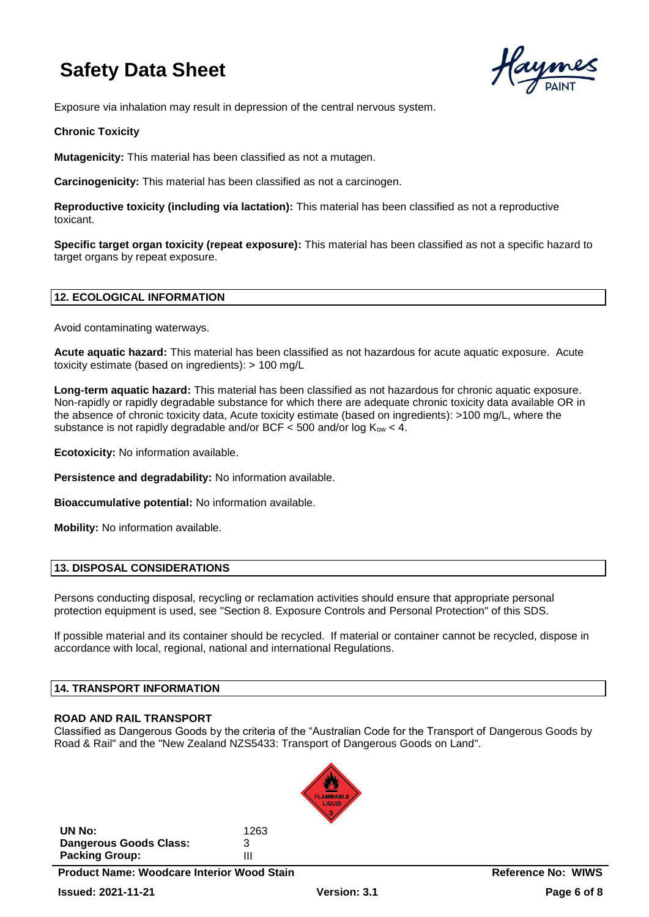

Exposure via inhalation may result in depression of the central nervous system.

# **Chronic Toxicity**

**Mutagenicity:** This material has been classified as not a mutagen.

**Carcinogenicity:** This material has been classified as not a carcinogen.

**Reproductive toxicity (including via lactation):** This material has been classified as not a reproductive toxicant.

**Specific target organ toxicity (repeat exposure):** This material has been classified as not a specific hazard to target organs by repeat exposure.

# **12. ECOLOGICAL INFORMATION**

Avoid contaminating waterways.

**Acute aquatic hazard:** This material has been classified as not hazardous for acute aquatic exposure. Acute toxicity estimate (based on ingredients): > 100 mg/L

**Long-term aquatic hazard:** This material has been classified as not hazardous for chronic aquatic exposure. Non-rapidly or rapidly degradable substance for which there are adequate chronic toxicity data available OR in the absence of chronic toxicity data, Acute toxicity estimate (based on ingredients): >100 mg/L, where the substance is not rapidly degradable and/or BCF < 500 and/or log  $K_{\text{ow}}$  < 4.

**Ecotoxicity:** No information available.

**Persistence and degradability:** No information available.

**Bioaccumulative potential:** No information available.

**Mobility:** No information available.

# **13. DISPOSAL CONSIDERATIONS**

Persons conducting disposal, recycling or reclamation activities should ensure that appropriate personal protection equipment is used, see "Section 8. Exposure Controls and Personal Protection" of this SDS.

If possible material and its container should be recycled. If material or container cannot be recycled, dispose in accordance with local, regional, national and international Regulations.

# **14. TRANSPORT INFORMATION**

# **ROAD AND RAIL TRANSPORT**

Classified as Dangerous Goods by the criteria of the "Australian Code for the Transport of Dangerous Goods by Road & Rail" and the "New Zealand NZS5433: Transport of Dangerous Goods on Land".



**Product Name: Woodcare Interior Wood Stain Reference No: WIWS**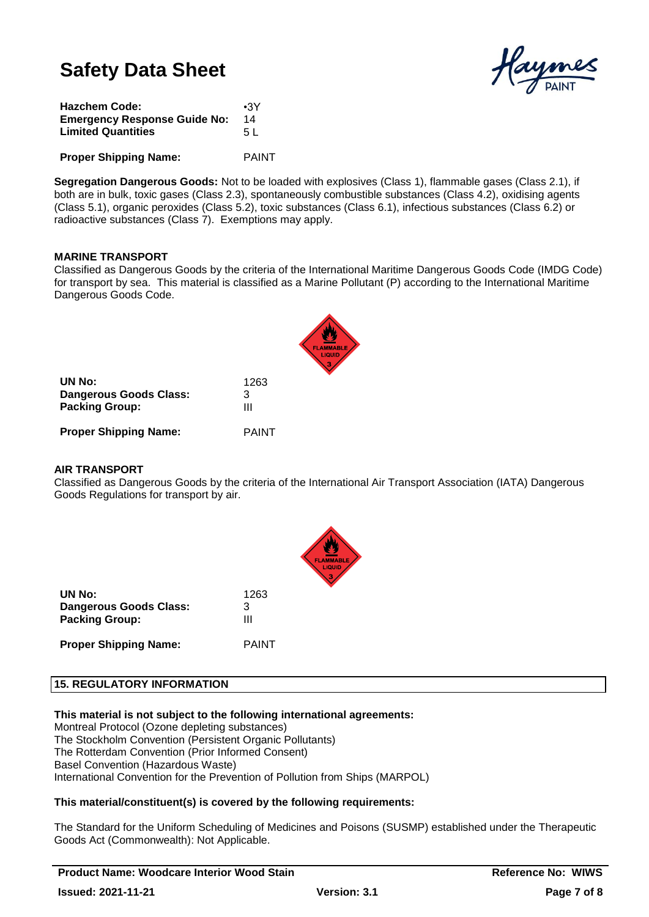

| <b>Hazchem Code:</b>                | $\cdot$ 3Y   |
|-------------------------------------|--------------|
| <b>Emergency Response Guide No:</b> | 14           |
| <b>Limited Quantities</b>           | 5 L          |
| <b>Proper Shipping Name:</b>        | <b>PAINT</b> |

**Segregation Dangerous Goods:** Not to be loaded with explosives (Class 1), flammable gases (Class 2.1), if both are in bulk, toxic gases (Class 2.3), spontaneously combustible substances (Class 4.2), oxidising agents (Class 5.1), organic peroxides (Class 5.2), toxic substances (Class 6.1), infectious substances (Class 6.2) or radioactive substances (Class 7). Exemptions may apply.

# **MARINE TRANSPORT**

Classified as Dangerous Goods by the criteria of the International Maritime Dangerous Goods Code (IMDG Code) for transport by sea. This material is classified as a Marine Pollutant (P) according to the International Maritime Dangerous Goods Code.

| UN No:                        | 1263         |
|-------------------------------|--------------|
| <b>Dangerous Goods Class:</b> | 3            |
| <b>Packing Group:</b>         | Ш            |
| <b>Proper Shipping Name:</b>  | <b>PAINT</b> |

# **AIR TRANSPORT**

Classified as Dangerous Goods by the criteria of the International Air Transport Association (IATA) Dangerous Goods Regulations for transport by air.



| UN No:                 | 1263 |
|------------------------|------|
| Dangerous Goods Class: | 3    |
| <b>Packing Group:</b>  | Ш    |
|                        |      |

**Proper Shipping Name:** PAINT

# **15. REGULATORY INFORMATION**

**This material is not subject to the following international agreements:**

Montreal Protocol (Ozone depleting substances) The Stockholm Convention (Persistent Organic Pollutants) The Rotterdam Convention (Prior Informed Consent) Basel Convention (Hazardous Waste) International Convention for the Prevention of Pollution from Ships (MARPOL)

# **This material/constituent(s) is covered by the following requirements:**

The Standard for the Uniform Scheduling of Medicines and Poisons (SUSMP) established under the Therapeutic Goods Act (Commonwealth): Not Applicable.